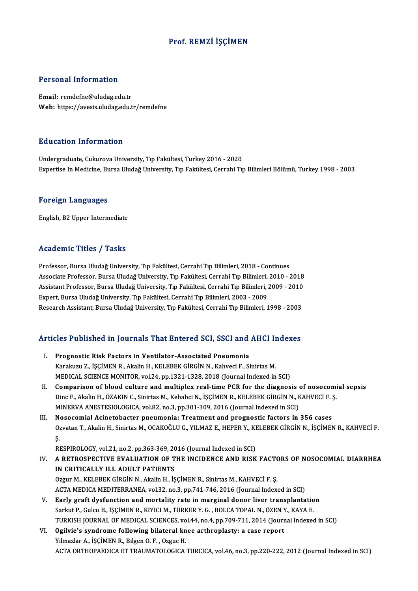#### Prof. REMZİ İŞÇİMEN

#### Personal Information

Email: remdefne@uludag.edu.tr Web: https://avesis.uludag.edu.tr/remdefne

#### Education Information

Undergraduate, Cukurova University, Tıp Fakültesi, Turkey 2016 - 2020 Expertise In Medicine, Bursa Uludağ University, Tıp Fakültesi, Cerrahi Tıp Bilimleri Bölümü, Turkey 1998 - 2003

#### Foreign Languages

English,B2Upper Intermediate

#### Academic Titles / Tasks

Professor, Bursa Uludağ University, Tıp Fakültesi, Cerrahi Tıp Bilimleri, 2018 - Continues Associate Professor, Bursa Uludağ University, Tıp Fakültesi, Cerrahi Tıp Bilimleri, 2010 - 2018 Professor, Bursa Uludağ University, Tıp Fakültesi, Cerrahi Tıp Bilimleri, 2018 - Continues<br>Associate Professor, Bursa Uludağ University, Tıp Fakültesi, Cerrahi Tıp Bilimleri, 2010 - 2018<br>Assistant Professor, Bursa Uludağ U Associate Professor, Bursa Uludağ University, Tıp Fakültesi, Cerrahi Tıp Bilimleri,<br>Assistant Professor, Bursa Uludağ University, Tıp Fakültesi, Cerrahi Tıp Bilimleri, .<br>Expert, Bursa Uludağ University, Tıp Fakültesi, Cerr Expert, Bursa Uludağ University, Tıp Fakültesi, Cerrahi Tıp Bilimleri, 2003 - 2009<br>Research Assistant, Bursa Uludağ University, Tıp Fakültesi, Cerrahi Tıp Bilimleri, 1998 - 2003

#### Articles Published in Journals That Entered SCI, SSCI and AHCI Indexes

- rticles Published in Journals That Entered SCI, SSCI and<br>I. Prognostic Risk Factors in Ventilator-Associated Pneumonia<br>Kanalaray 7, ISCIMEN P. Alglin H. KELEBEK CIRCIN N. Kabyogi E. Si Karakuzu Z., İŞÇİMEN R., Akalin H., KELEBEK GİRGİN N., Kahveci F., Sinirtas M.<br>Karakuzu Z., İŞÇİMEN R., Akalin H., KELEBEK GİRGİN N., Kahveci F., Sinirtas M.<br>MEDICAL SCIENCE MONITOR vel 24. nn 1221 1222 2012 (Journal Indov Karakuzu Z., İŞÇİMEN R., Akalin H., KELEBEK GİRGİN N., Kahveci F., Sinirtas M.<br>MEDICAL SCIENCE MONITOR, vol.24, pp.1321-1328, 2018 (Journal Indexed in SCI) Karakuzu Z., İŞÇİMEN R., Akalin H., KELEBEK GİRGİN N., Kahveci F., Sinirtas M.<br>MEDICAL SCIENCE MONITOR, vol.24, pp.1321-1328, 2018 (Journal Indexed in SCI)<br>II. Comparison of blood culture and multiplex real-time PCR for th
- MEDICAL SCIENCE MONITOR, vol.24, pp.1321-1328, 2018 (Journal Indexed in SCI)<br>Comparison of blood culture and multiplex real-time PCR for the diagnosis of nosocomi<br>Dinc F., Akalin H., ÖZAKIN C., Sinirtas M., Kebabci N., İŞÇ Comparison of blood culture and multiplex real-time PCR for the diagnosis of Dinc F., Akalin H., ÖZAKIN C., Sinirtas M., Kebabci N., İŞÇİMEN R., KELEBEK GİRGİN N., K<br>MINERVA ANESTESIOLOGICA, vol.82, no.3, pp.301-309, 2016 Dinc F., Akalin H., ÖZAKIN C., Sinirtas M., Kebabci N., İŞÇİMEN R., KELEBEK GİRGİN N., KAHVECİ F. Ş.<br>MINERVA ANESTESIOLOGICA, vol.82, no.3, pp.301-309, 2016 (Journal Indexed in SCI)<br>III. Nosocomial Acinetobacter pneumonia:
- Ozvatan T., Akalin H., Sinirtas M., OCAKOĞLU G., YILMAZ E., HEPER Y., KELEBEK GİRGİN N., İŞÇİMEN R., KAHVECİ F.<br>Ş.  $\frac{N}{\sqrt{2}}$ Ozvatan T., Akalin H., Sinirtas M., OCAKOĞLU G., YILMAZ E., HEPER Y., KE<br>Ş.<br>RESPIROLOGY, vol.21, no.2, pp.363-369, 2016 (Journal Indexed in SCI)<br>A RETROSRECTIVE EVALUATION OF THE INCIDENCE AND RISK

IV. A RETROSPECTIVE EVALUATION OF THE INCIDENCE AND RISK FACTORS OF NOSOCOMIAL DIARRHEA RESPIROLOGY, vol.21, no.2, pp.363-369, 20<br>A RETROSPECTIVE EVALUATION OF T<br>IN CRITICALLY ILL ADULT PATIENTS<br>Ozgur M, kel EREK CIRCIN N, Alglin H, is A RETROSPECTIVE EVALUATION OF THE INCIDENCE AND RISK FACTO<br>IN CRITICALLY ILL ADULT PATIENTS<br>Ozgur M., KELEBEK GİRGİN N., Akalin H., İŞÇİMEN R., Sinirtas M., KAHVECİ F. Ş.<br>ACTA MEDICA MEDITERRANEA 170 22. R9.2. RD 744.746.2

IN CRITICALLY ILL ADULT PATIENTS<br>Ozgur M., KELEBEK GİRGİN N., Akalin H., İŞÇİMEN R., Sinirtas M., KAHVECİ F. Ş.<br>ACTA MEDICA MEDITERRANEA, vol.32, no.3, pp.741-746, 2016 (Journal Indexed in SCI)<br>Farly graft dygfungtion and ACTA MEDICA MEDITERRANEA, vol.32, no.3, pp.741-746, 2016 (Journal Indexed in SCI)<br>V. Early graft dysfunction and mortality rate in marginal donor liver transplantation

- ACTA MEDICA MEDITERRANEA, vol.32, no.3, pp.741-746, 2016 (Journal Indexed in SCI)<br>Early graft dysfunction and mortality rate in marginal donor liver transplantatio<br>Sarkut P., Gulcu B., İŞÇİMEN R., KIYICI M., TÜRKER Y. G. , TURKISH JOURNAL OF MEDICAL SCIENCES, vol.44, no.4, pp.709-711, 2014 (Journal Indexed in SCI)<br>VI. Ogilvie's syndrome following bilateral knee arthroplasty: a case report Sarkut P., Gulcu B., İŞÇİMEN R., KIYICI M., TÜRKER Y. G. , BOLCA TOPAL N., ÖZEN Y.<br>TURKISH JOURNAL OF MEDICAL SCIENCES, vol.44, no.4, pp.709-711, 2014 (Journ<br>VI. Ogilvie's syndrome following bilateral knee arthroplasty: a
- Yilmazlar A., İŞÇİMEN R., Bilgen O.F., Ozguc H. ACTAORTHOPAEDICAETTRAUMATOLOGICATURCICA,vol.46,no.3,pp.220-222,2012 (Journal Indexed inSCI)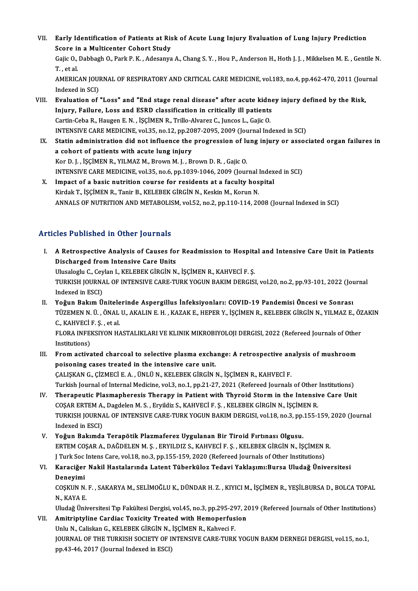- VII. Early Identification of Patients at Risk of Acute Lung Injury Evaluation of Lung Injury Prediction<br>Seare in a Multisanter Cabart Study Early Identification of Patients at Ris<br>Score in a Multicenter Cohort Study<br>Caija O Dabbash O Parl: P. K., Adesanya Early Identification of Patients at Risk of Acute Lung Injury Evaluation of Lung Injury Prediction<br>Score in a Multicenter Cohort Study<br>Gajic O., Dabbagh O., Park P. K. , Adesanya A., Chang S. Y. , Hou P., Anderson H., Hoth Score in a Multicenter Cohort Study<br>Gajic O., Dabbagh O., Park P. K. , Adesanya A., Chang S. Y. , Hou P., Anderson H., Hoth J. J. , Mikkelsen M. E. , Gentile N.<br>T. . et al. Gajic O., Dabbagh O., Park P. K. , Adesanya A., Chang S. Y. , Hou P., Anderson H., Hoth J. J. , Mikkelsen M. E. , Gentile N<br>T. , et al.<br>AMERICAN JOURNAL OF RESPIRATORY AND CRITICAL CARE MEDICINE, vol.183, no.4, pp.462-470, T. , et al.<br>AMERICAN JOUI<br>Indexed in SCI)<br>Evaluation of AMERICAN JOURNAL OF RESPIRATORY AND CRITICAL CARE MEDICINE, vol.183, no.4, pp.462-470, 2011 (Jou:<br>Indexed in SCI)<br>VIII. Evaluation of "Loss" and "End stage renal disease" after acute kidney injury defined by the Risk,<br>Inju
- Indexed in SCI)<br>Evaluation of "Loss" and "End stage renal disease" after acute kidne<br>Injury, Failure, Loss and ESRD classification in critically ill patients<br>Cartin Coba B, Haugan E.N., İSCİMEN B, Trillo Alvarez C, Junges Evaluation of "Loss" and "End stage renal disease" after acute kidn<br>Injury, Failure, Loss and ESRD classification in critically ill patients<br>Cartin-Ceba R., Haugen E. N. , İŞÇİMEN R., Trillo-Alvarez C., Juncos L., Gajic O. Injury, Failure, Loss and ESRD classification in critically ill patients<br>Cartin-Ceba R., Haugen E. N. , İŞÇİMEN R., Trillo-Alvarez C., Juncos L., Gajic O.<br>INTENSIVE CARE MEDICINE, vol.35, no.12, pp.2087-2095, 2009 (Journal Cartin-Ceba R., Haugen E. N. , İŞÇİMEN R., Trillo-Alvarez C., Juncos L., Gajic O.<br>INTENSIVE CARE MEDICINE, vol.35, no.12, pp.2087-2095, 2009 (Journal Indexed in SCI)<br>IX. Statin administration did not influence the progress
- INTENSIVE CARE MEDICINE, vol.35, no.12, pp.20<br>Statin administration did not influence the<br>a cohort of patients with acute lung injury<br>Ker D. L. SCIMEN B. VILMAZ M. Broum M. L. B. Statin administration did not influence the progression of lu<br>a cohort of patients with acute lung injury<br>Kor D. J. , İŞÇİMEN R., YILMAZ M., Brown M. J. , Brown D. R. , Gajic O.<br>INTENSIVE CARE MEDICINE yol 25, no 6, np.102 a cohort of patients with acute lung injury<br>Kor D. J. , İŞÇİMEN R., YILMAZ M., Brown M. J. , Brown D. R. , Gajic O.<br>INTENSIVE CARE MEDICINE, vol.35, no.6, pp.1039-1046, 2009 (Journal Indexed in SCI)<br>Impect of a basis putui Kor D. J., İŞÇİMEN R., YILMAZ M., Brown M. J., Brown D. R., Gajic O.<br>INTENSIVE CARE MEDICINE, vol.35, no.6, pp.1039-1046, 2009 (Journal Index<br>X. Impact of a basic nutrition course for residents at a faculty hospital<br>Vindek
- INTENSIVE CARE MEDICINE, vol.35, no.6, pp.1039-1046, 2009 (Journal l<br>Impact of a basic nutrition course for residents at a faculty hos<br>Kirdak T., İŞÇİMEN R., Tanir B., KELEBEK GİRGİN N., Keskin M., Korun N.<br>ANNALS OF NUTRI X. Impact of a basic nutrition course for residents at a faculty hospital<br>Kirdak T., İŞÇİMEN R., Tanir B., KELEBEK GİRGİN N., Keskin M., Korun N.<br>ANNALS OF NUTRITION AND METABOLISM, vol.52, no.2, pp.110-114, 2008 (Journal

#### Articles Published in Other Journals

rticles Published in Other Journals<br>I. A Retrospective Analysis of Causes for Readmission to Hospital and Intensive Care Unit in Patients<br>Discharged from Intensive Care Units A Retrospective Analysis of Causes for<br>Discharged from Intensive Care Units<br>Illucabelu C. Covlan L. KELEBEK CIBCIN N A Retrospective Analysis of Causes for Readmission to Hospita<br>Discharged from Intensive Care Units<br>Ulusaloglu C., Ceylan I., KELEBEK GİRGİN N., İŞÇİMEN R., KAHVECİ F. Ş.<br>TURKISH JOURNAL OF INTENSIVE CARE TURK YOCUN RAKIM D

Discharged from Intensive Care Units<br>Ulusaloglu C., Ceylan I., KELEBEK GİRGİN N., İŞÇİMEN R., KAHVECİ F. Ş.<br>TURKISH JOURNAL OF INTENSIVE CARE-TURK YOGUN BAKIM DERGISI, vol.20, no.2, pp.93-101, 2022 (Journal<br>Indexed in ESCI Ulusaloglu C., Ceylan I., KELEBEK GİRGİN N., İŞÇİMEN R., KAHVECİ F. Ş. TURKISH JOURNAL OF INTENSIVE CARE-TURK YOGUN BAKIM DERGISI, vol.20, no.2, pp.93-101, 2022 (Journal)<br>Indexed in ESCI)<br>II. Yoğun Bakım Ünitelerinde Aspergillus İnfeksiyonları: COVID-19 Pandemisi Öncesi ve Sonrası<br>TÜZEMEN N.

TÜZEMEN N. Ü. , ÖNAL U., AKALIN E. H. , KAZAK E., HEPER Y., İŞÇİMEN R., KELEBEK GİRGİN N., YILMAZ E., ÖZAKIN C., KAHVECİ F. S. . et al. Yoğun Bakım Ünitele<br>TÜZEMEN N. Ü. , ÖNAL<br>C., KAHVECİ F. Ş. , et al.<br>ELOPA INEEKSIYON H TÜZEMEN N. Ü. , ÖNAL U., AKALIN E. H. , KAZAK E., HEPER Y., İŞÇİMEN R., KELEBEK GİRGİN N., YILMAZ E., ÖZ<br>C., KAHVECİ F. Ş. , et al.<br>FLORA INFEKSIYON HASTALIKLARI VE KLINIK MIKROBIYOLOJI DERGISI, 2022 (Refereed Journals of

C., KAHVECİ<br>Institutions)<br>Enem active FLORA INFEKSIYON HASTALIKLARI VE KLINIK MIKROBIYOLOJI DERGISI, 2022 (Refereed Journals of Other<br>Institutions)<br>III. From activated charcoal to selective plasma exchange: A retrospective analysis of mushroom<br>poisoning sesse

Institutions)<br>III. From activated charcoal to selective plasma exchange: A retrospective analysis of mushroom<br>poisoning cases treated in the intensive care unit. ÇALIŞKAN G., ÇİZMECİ E. A., ÜNLÜ N., KELEBEK GİRGİN N., İŞÇİMEN R., KAHVECİ F. poisoning cases treated in the intensive care unit.<br>ÇALIŞKAN G., ÇİZMECİ E. A. , ÜNLÜ N., KELEBEK GİRGİN N., İŞÇİMEN R., KAHVECİ F.<br>Turkish Journal of Internal Medicine, vol.3, no.1, pp.21-27, 2021 (Refereed Journals of Ot

- CALISKAN G., CIZMECI E. A., ÜNLÜ N., KELEBEK GIRGIN N., ISCIMEN R., KAHVECI F.<br>Turkish Journal of Internal Medicine, vol.3, no.1, pp.21-27, 2021 (Refereed Journals of Other Institutions)<br>IV. Therapeutic Plasmapheresis Ther Turkish Journal of Internal Medicine, vol.3, no.1, pp.21-27, 2021 (Refereed Journals of Other<br>Therapeutic Plasmapheresis Therapy in Patient with Thyroid Storm in the Intensive<br>COŞAR ERTEM A., Dagdelen M. S. , Eryildiz S., Therapeutic Plasmapheresis Therapy in Patient with Thyroid Storm in the Intensive Care Unit<br>COŞAR ERTEM A., Dagdelen M. S. , Eryildiz S., KAHVECİ F. Ş. , KELEBEK GİRGİN N., İŞÇİMEN R.<br>TURKISH JOURNAL OF INTENSIVE CARE-TURK COŞAR ERTEM A., Dagdelen M. S. , Eryildiz S., KAHVECİ F. Ş. , KELEBEK GİRGİN N., İŞÇİMEN R.<br>TURKISH JOURNAL OF INTENSIVE CARE-TURK YOGUN BAKIM DERGISI, vol.18, no.3, pp.155-159, 2020 (Journal<br>Indexed in ESCI)
- V. Yoğun Bakımda Terapötik Plazmaferez Uygulanan Bir Tiroid Fırtınası Olgusu. Indexed in ESCI)<br>Yoğun Bakımda Terapötik Plazmaferez Uygulanan Bir Tiroid Fırtınası Olgusu.<br>ERTEM COŞAR A., DAĞDELEN M. Ş. , ERYILDIZ S., KAHVECİ F. Ş. , KELEBEK GİRGİN N., İŞÇİMEN R.<br>LTurk Sos İnters Care vel 18 ne 3 nn 1 Yoğun Bakımda Terapötik Plazmaferez Uygulanan Bir Tiroid Fırtınası Olgusu.<br>ERTEM COŞAR A., DAĞDELEN M. Ş. , ERYILDIZ S., KAHVECİ F. Ş. , KELEBEK GİRGİN N., İŞÇİMEN I<br>J Turk Soc Intens Care, vol.18, no.3, pp.155-159, 2020 ( ERTEM COŞAR A., DAĞDELEN M. Ş. , ERYILDIZ S., KAHVECİ F. Ş. , KELEBEK GİRGİN N., İŞÇİMEN R.<br>J Turk Soc Intens Care, vol.18, no.3, pp.155-159, 2020 (Refereed Journals of Other Institutions)<br>VI. Karaciğer Nakil Hastalarında

## J Turk Soc<br><mark>Karaciğer</mark><br>Deneyimi<br>COSKUN N Karaciğer Nakil Hastalarında Latent Tüberküloz Tedavi Yaklaşımı:Bursa Uludağ Üniversitesi<br>Deneyimi<br>COŞKUN N. F. , SAKARYA M., SELİMOĞLU K., DÜNDAR H. Z. , KIYICI M., İŞÇİMEN R., YEŞİLBURSA D., BOLCA TOPAL<br>N. KAYA F

Deneyimi<br>COŞKUN N.<br>N., KAYA E.<br>Uludeğ Üni COȘKUN N. F. , SAKARYA M., SELİMOĞLU K., DÜNDAR H. Z. , KIYICI M., İŞÇİMEN R., YEŞİLBURSA D., BOLCA TOPAL<br>N., KAYA E.<br>Uludağ Üniversitesi Tıp Fakültesi Dergisi, vol.45, no.3, pp.295-297, 2019 (Refereed Journals of Other In

N., KAYA E.<br>Uludağ Üniversitesi Tıp Fakültesi Dergisi, vol.45, no.3, pp.295-297, 2019 (Refereed Journals of Other Institutions)<br>VII. Amitriptyline Cardiac Toxicity Treated with Hemoperfusion

### Uludağ Üniversitesi Tıp Fakültesi Dergisi, vol.45, no.3, pp.295-29<br>Amitriptyline Cardiac Toxicity Treated with Hemoperfus<br>Unlu N., Caliskan G., KELEBEK GİRGİN N., İŞÇİMEN R., Kahveci F.<br>JOUPNAL OF TUE TURKISH SOCIETY OF IN JOURNAL OF THE TURKISH SOCIETY OF INTENSIVE CARE-TURK YOGUN BAKM DERNEGI DERGISI, vol.15, no.1,<br>pp.43-46, 2017 (Journal Indexed in ESCI) Unlu N., Caliskan G., KELEBEK GİRGİN N.,<br>JOURNAL OF THE TURKISH SOCIETY OF I<br>pp.43-46, 2017 (Journal Indexed in ESCI)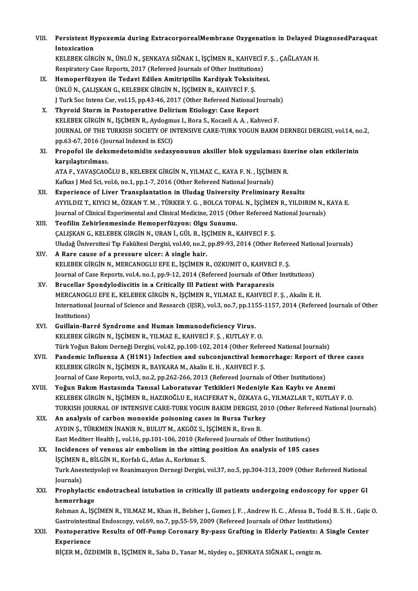| VIII. | Persistent Hypoxemia during ExtracorporealMembrane Oxygenation in Delayed DiagnosedParaquat |
|-------|---------------------------------------------------------------------------------------------|
|       | Intoxication                                                                                |
|       | VEI EDEV CIDCIN N JINI JI N CENVAVA CIČNAV I ISCIMEN D VALUIECI E S CAČI AVAN LI            |

KELEBEK GİRGİN N., ÜNLÜ N., SENKAYA SIĞNAK I., İSCİMEN R., KAHVECİ F. S. , CAĞLAYAN H. Respiratory Case Reports, 2017 (Refereed Journals of Other Institutions)

- IX. Hemoperfüzyon ile Tedavi Edilen Amitriptilin Kardiyak Toksisitesi. Respiratory Case Reports, 2017 (Refereed Journals of Other Institution<br>Hemoperfüzyon ile Tedavi Edilen Amitriptilin Kardiyak Toksisi<br>ÜNLÜ N., ÇALIŞKAN G., KELEBEK GİRGİN N., İŞÇİMEN R., KAHVECİ F. Ş.<br>LTurk Soc Intens Car v Hemoperfüzyon ile Tedavi Edilen Amitriptilin Kardiyak Toksisitesi.<br>ÜNLÜ N., ÇALIŞKAN G., KELEBEK GİRGİN N., İŞÇİMEN R., KAHVECİ F. Ş.<br>J Turk Soc Intens Car, vol.15, pp.43-46, 2017 (Other Refereed National Journals)<br>Thuraid UNLU N., ÇALIŞKAN G., KELEBEK GİRGİN N., İŞÇİMEN R., KAHVECİ F. Ş.<br>J Turk Soc Intens Car, vol.15, pp.43-46, 2017 (Other Refereed National Jo<br>X. Thyroid Storm in Postoperative Delirium Etiology: Case Report<br>KELEBEK CİRCİN N
- J Turk Soc Intens Car, vol.15, pp.43-46, 2017 (Other Refereed National Journals<br>Thyroid Storm in Postoperative Delirium Etiology: Case Report<br>KELEBEK GİRGİN N., İŞÇİMEN R., Aydogmus I., Bora S., Kocaeli A.A., Kahveci F.<br>JO X. Thyroid Storm in Postoperative Delirium Etiology: Case Report<br>KELEBEK GİRGİN N., İŞÇİMEN R., Aydogmus I., Bora S., Kocaeli A. A. , Kahveci F.<br>JOURNAL OF THE TURKISH SOCIETY OF INTENSIVE CARE-TURK YOGUN BAKM DERNEGI DERG KELEBEK GİRGİN N., İSCİMEN R., Aydogmus I., Bora S., Kocaeli A. A., Kahveci F.
- XI. Propofol ile deksmedetomidin sedasyonunun aksil er blok uygulaması üzerine olan etkilerinin karşılaştırılması. Propofol ile deksmedetomidin sedasyonunun aksiller blok uygulaması üz<br>karşılaştırılması.<br>ATA F., YAVAŞCAOĞLU B., KELEBEK GİRGİN N., YILMAZ C., KAYA F. N. , İŞÇİMEN R.<br>Keline LMed Sei vel f. na 1 nn 1 7 2016 (Other Befereed

karşılaştırılması.<br>ATA F., YAVAŞCAOĞLU B., KELEBEK GİRGİN N., YILMAZ C., KAYA F. N. , İŞÇİME<br>Kafkas J Med Sci, vol.6, no.1, pp.1-7, 2016 (Other Refereed National Journals)<br>Evnenionae of Liver Transplantation in Uludas Univ

- Kafkas J Med Sci, vol.6, no.1, pp.1-7, 2016 (Other Refereed National Journals)<br>XII. Experience of Liver Transplantation in Uludag University Preliminary Results Kafkas J Med Sci, vol.6, no.1, pp.1-7, 2016 (Other Refereed National Journals)<br><mark>Experience of Liver Transplantation in Uludag University Preliminary Results</mark><br>AYYILDIZ T., KIYICI M., ÖZKAN T. M. , TÜRKER Y. G. , BOLCA TOPAL Experience of Liver Transplantation in Uludag University Preliminary Results<br>AYYILDIZ T., KIYICI M., ÖZKAN T. M. , TÜRKER Y. G. , BOLCA TOPAL N., İŞÇİMEN R., YILDIRIM N., I<br>Journal of Clinical Experimental and Clinical Med Journal of Clinical Experimental and Clinical Medicine, 2015 (Other Refereed National Journals)<br>XIII. Teofilin Zehirlenmesinde Hemoperfüzyon: Olgu Sunumu.
- Journal of Clinical Experimental and Clinical Medicine, 2015 (Other Refereed N<br>Teofilin Zehirlenmesinde Hemoperfüzyon: Olgu Sunumu.<br>ÇALIŞKAN G., KELEBEK GİRGİN N., URAN İ., GÜL B., İŞÇİMEN R., KAHVECİ F. Ş.<br>Uludağ Üniversi Uludağ Üniversitesi Tıp Fakültesi Dergisi, vol.40, no.2, pp.89-93, 2014 (Other Refereed National Journals)<br>A Rare cause of a pressure ulcer: A single hair. CALISKAN G., KELEBEK GİRGİN N., URAN İ., GÜL B., İŞO Uludağ Üniversitesi Tıp Fakültesi Dergisi, vol.40, no.2,<br>XIV. A Rare cause of a pressure ulcer: A single hair.<br>ERI EREK CİRCİN N. MERCANOCI U ERE E İSCİMEN E
- Uludağ Üniversitesi Tıp Fakültesi Dergisi, vol.40, no.2, pp.89-93, 2014 (Other Refere<br>A Rare cause of a pressure ulcer: A single hair.<br>KELEBEK GİRGİN N., MERCANOGLU EFE E., İŞÇİMEN R., OZKUMIT O., KAHVECİ F. Ş.<br>Journal of KELEBEK GIRGIN N., MERCANOGLU EFE E., IŞÇIMEN R., OZKUMIT O., KAHVEC.<br>Journal of Case Reports, vol.4, no.1, pp.9-12, 2014 (Refereed Journals of Other<br>XV. Brucellar Spondylodiscitis in a Critically Ill Patient with Parapare
- Journal of Case Reports, vol.4, no.1, pp.9-12, 2014 (Refereed Journals of Other Institutions)<br>XV. Brucellar Spondylodiscitis in a Critically Ill Patient with Paraparesis Journal of Case Reports, vol.4, no.1, pp.9-12, 2014 (Refereed Journals of Other Institutions)<br>Brucellar Spondylodiscitis in a Critically Ill Patient with Paraparesis<br>MERCANOGLU EFE E., KELEBEK GIRGIN N., İŞÇİMEN R., YILMAZ International Journal of Science and Research (IJSR), vol.3, no.7, pp.1155-1157, 2014 (Refereed Journals of Other<br>Institutions) MERCANOGL<br>International<br>Institutions)<br>Cuillein Bor International Journal of Science and Research (IJSR), vol.3, no.7, pp.11!<br>Institutions)<br>XVI. Guillain-Barré Syndrome and Human Immunodeficiency Virus.<br>EXPLEPEL CIRCIN N. ISCIMEN R. VILMAZ E. LAHVECLE S. LUTHAVE
- Institutions)<br>Guillain-Barré Syndrome and Human Immunodeficiency Virus.<br>KELEBEK GİRGİN N., İŞÇİMEN R., YILMAZ E., KAHVECİ F. Ş. , KUTLAY F. O.<br>Türk Yoğun Belam Derneği Dergisi vol.42, nn.100,102,2014 (Other Befel KELEBEK GİRGİN N., İŞÇİMEN R., YILMAZ E., KAHVECİ F. Ş. , KUTLAY F. O.<br>Türk Yoğun Bakım Derneği Dergisi, vol.42, pp.100-102, 2014 (Other Refereed National Journals) KELEBEK GİRGİN N., İŞÇİMEN R., YILMAZ E., KAHVECİ F. Ş. , KUTLAY F. O.<br>Türk Yoğun Bakım Derneği Dergisi, vol.42, pp.100-102, 2014 (Other Refereed National Journals)<br>XVII. Pandemic Influenza A (H1N1) Infection and subco
- Türk Yoğun Bakım Derneği Dergisi, vol.42, pp.100-102, 2014 (Other Refer<br>Pandemic Influenza A (H1N1) Infection and subconjunctival heme<br>KELEBEK GİRGİN N., İŞÇİMEN R., BAYKARA M., Akalin E. H. , KAHVECİ F. Ş.<br>Journal of Case Pandemic Influenza A (H1N1) Infection and subconjunctival hemorrhage: Report of<br>KELEBEK GİRGİN N., İŞÇİMEN R., BAYKARA M., Akalin E. H. , KAHVECİ F. Ş.<br>Journal of Case Reports, vol.3, no.2, pp.262-266, 2013 (Refereed Journ KELEBEK GİRGİN N., İŞÇİMEN R., BAYKARA M., Akalin E. H. , KAHVECİ F. Ş.<br>Journal of Case Reports, vol.3, no.2, pp.262-266, 2013 (Refereed Journals of Other Institutions)<br>XVIII. Yoğun Bakım Hastasında Tanısal Laboratuvar Tet
- Journal of Case Reports, vol.3, no.2, pp.262-266, 2013 (Refereed Journals of Other Institutions)<br>Yoğun Bakım Hastasında Tanısal Laboratuvar Tetkikleri Nedeniyle Kan Kaybı ve Anemi<br>KELEBEK GİRGİN N., İŞÇİMEN R., HAZIROĞLU E Yoğun Bakım Hastasında Tanısal Laboratuvar Tetkikleri Nedeniyle Kan Kaybı ve Anemi<br>KELEBEK GİRGİN N., İŞÇİMEN R., HAZIROĞLU E., HACIFERAT N., ÖZKAYA G., YILMAZLAR T., KUTLAY F. O.<br>TURKISH JOURNAL OF INTENSIVE CARE-TURK YOG KELEBEK GİRGİN N., İŞÇİMEN R., HAZIROĞLU E., HACIFERAT N., ÖZKAYA G., YILMAZLAR T., KUTLAY F. O.<br>TURKISH JOURNAL OF INTENSIVE CARE-TURK YOGUN BAKIM DERGISI, 2010 (Other Refereed National Journal D.<br>XIX. An analysis of
- TURKISH JOURNAL OF INTENSIVE CARE-TURK YOGUN BAKIM DERGISI, 2<br>An analysis of carbon monoxide poisoning cases in Bursa Turke<br>AYDIN Ş., TÜRKMEN İNANIR N., BULUT M., AKGÖZ S., İŞÇİMEN R., Eren B.<br>Fest Mediterr Heelth L. vel 1 East Mediterr Health J., vol.16, pp.101-106, 2010 (Refereed Journals of Other Institutions) AYDIN Ş., TÜRKMEN İNANIR N., BULUT M., AKGÖZ S., İŞÇİMEN R., Eren B.<br>East Mediterr Health J., vol.16, pp.101-106, 2010 (Refereed Journals of Other Institutions)<br>XX. Incidences of venous air embolism in the sitting position
- East Mediterr Health J., vol.16, pp.101-106, 2010 (Ref<br>Incidences of venous air embolism in the sittin<br>İŞÇİMEN R., BİLGİN H., Korfalı G., Atlas A., Korkmaz S.<br>Turk Anesteriyeleji ve Beanimesyon Dennesi Dersisi Turk Anesteziyoloji ve Reanimasyon Dernegi Dergisi, vol.37, no.5, pp.304-313, 2009 (Other Refereed National Journals) ISCIMEN R., BILGIN H., Korfalı G., Atlas A., Korkmaz S. Turk Anesteziyoloji ve Reanimasyon Dernegi Dergisi, vol.37, no.5, pp.304-313, 2009 (Other Refereed National<br>Journals)<br>XXI. Prophylactic endotracheal intubation in critically ill patients undergoing endoscopy for upper GI<br>h
- Journals)<br><mark>Prophylactic</mark><br>hemorrhage<br><sup>Rohmon A. isc</sup> Prophylactic endotracheal intubation in critically ill patients undergoing endoscopy for upper GI<br>hemorrhage<br>Rehman A., İŞÇİMEN R., YILMAZ M., Khan H., Belsher J., Gomez J. F. , Andrew H. C. , Afessa B., Todd B. S. H. , Ga

hemorrhage<br>Rehman A., İŞÇİMEN R., YILMAZ M., Khan H., Belsher J., Gomez J. F. , Andrew H. C. , Afessa B., Todd<br>Gastrointestinal Endoscopy, vol.69, no.7, pp.55-59, 2009 (Refereed Journals of Other Institutions)<br>Pestenerativ Rehman A., İŞÇİMEN R., YILMAZ M., Khan H., Belsher J., Gomez J. F. , Andrew H. C. , Afessa B., Todd B. S. H. , Gajic<br>Gastrointestinal Endoscopy, vol.69, no.7, pp.55-59, 2009 (Refereed Journals of Other Institutions)<br>XXII.

# Gastrointestinal Endoscopy, vol.69, no.7, pp.55-59, 2009 (Refereed Journals of Other Institutions)<br>XXII. Postoperative Results of Off-Pump Coronary By-pass Grafting in Elderly Patients: A Single Center<br>Experience

BİÇER M., ÖZDEMİR B., İŞÇİMEN R., Saba D., Yanar M., tüydeş o., ŞENKAYA SIĞNAK I., cengizm.